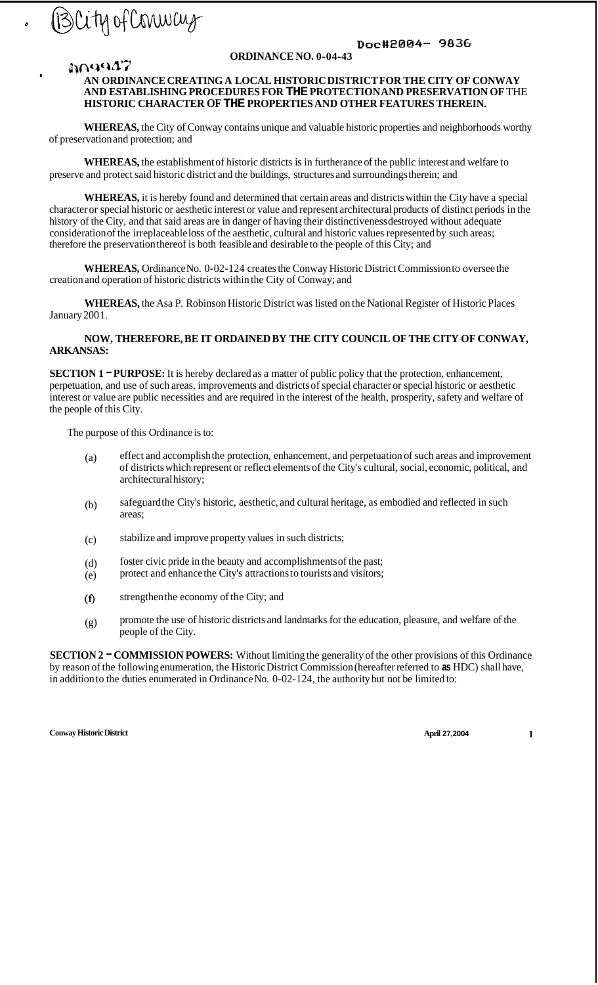

**<sup>3</sup>\6\'\$U 47** 

*0* 

**I** 

## *Dolc#20(34-* **9836**

#### **ORDINANCE NO. 0-04-43**

### **AN ORDINANCE CREATING A LOCAL HISTORIC DISTRICT FOR THE CITY OF CONWAY AND ESTABLISHING PROCEDURES FOR THE PROTECTION AND PRESERVATION OF** THE **HISTORIC CHARACTER OF THE PROPERTIES AND OTHER FEATURES THEREIN.**

**WHEREAS,** the City of Conway contains unique and valuable historic properties and neighborhoods worthy of preservation and protection; and

**WHEREAS,** the establishment of historic districts is in furtherance of the public interest and welfare to preserve and protect said historic district and the buildings, structures and surroundings therein; and

**WHEREAS,** it is hereby found and determined that certain areas and districts within the City have a special character or special historic or aesthetic interest or value and represent architectural products of distinct periods in the history of the City, and that said areas are in danger of having their distinctiveness destroyed without adequate consideration of the irreplaceable loss of the aesthetic, cultural and historic values represented by such areas; therefore the preservation thereof is both feasible and desirable to the people of this City; and

**WHEREAS,** Ordinance No. 0-02-124 creates the Conway Historic District Commission to oversee the creation and operation of historic districts within the City of Conway; and

**WHEREAS,** the Asa P. Robinson Historic District was listed on the National Register of Historic Places January 2001.

#### **NOW, THEREFORE, BE IT ORDAINED BY THE CITY COUNCIL OF THE CITY OF CONWAY, ARKANSAS:**

**SECTION 1 – PURPOSE:** It is hereby declared as a matter of public policy that the protection, enhancement, perpetuation, and use of such areas, improvements and districts of special character or special historic or aesthetic interest or value are public necessities and are required in the interest of the health, prosperity, safety and welfare of the people of this City.

The purpose of this Ordinance is to:

- (a) effect and accomplish the protection, enhancement, and perpetuation of such areas and improvement of districts which represent or reflect elements of the City's cultural, social, economic, political, and architectural history;
- (b) safeguard the City's historic, aesthetic, and cultural heritage, as embodied and reflected in such areas;
- (c) stabilize and improve property values in such districts;
- (d) foster civic pride in the beauty and accomplishments of the past;
- (e) protect and enhance the City's attractions to tourists and visitors;
- **(f)** strengthen the economy of the City; and
- (g) promote the use of historic districts and landmarks for the education, pleasure, and welfare of the people of the City.

**SECTION 2 - COMMISSION POWERS:** Without limiting the generality of the other provisions of this Ordinance by reason of the following enumeration, the Historic District Commission (hereafter referred to **as** HDC) shall have, in addition to the duties enumerated in Ordinance No. 0-02-124, the authority but not be limited to: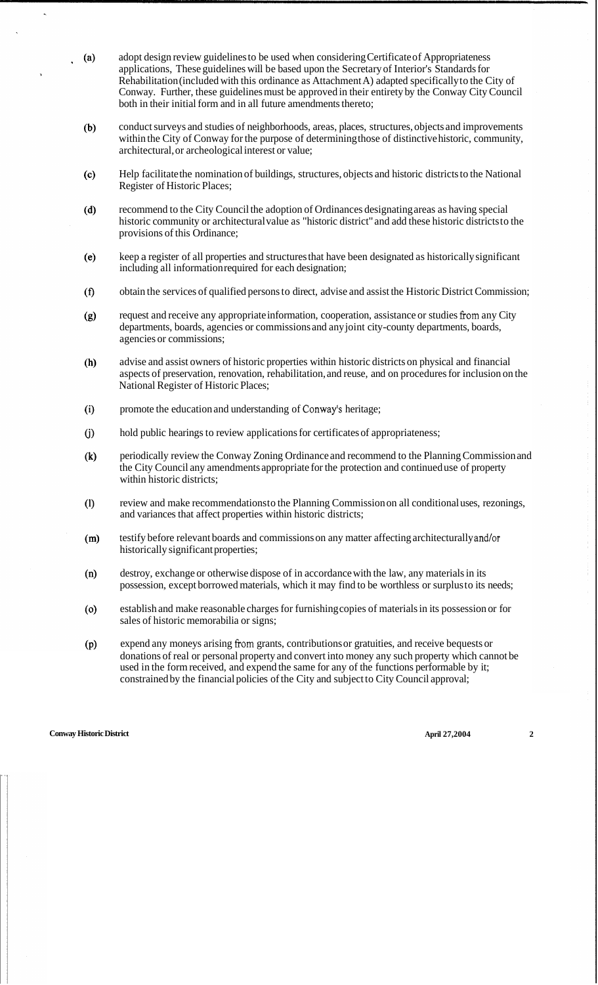- adopt design review guidelines to be used when considering Certificate of Appropriateness  $(a)$ applications, These guidelines will be based upon the Secretary of Interior's Standards for Rehabilitation (included with this ordinance as Attachment A) adapted specifically to the City of Conway. Further, these guidelines must be approved in their entirety by the Conway City Council both in their initial form and in all future amendments thereto;
- conduct surveys and studies of neighborhoods, areas, places, structures, objects and improvements  $(b)$ within the City of Conway for the purpose of determining those of distinctive historic, community, architectural, or archeological interest or value;
- Help facilitate the nomination of buildings, structures, objects and historic districts to the National  $(c)$ Register of Historic Places;
- $(d)$ recommend to the City Council the adoption of Ordinances designating areas as having special historic community or architectural value as "historic district" and add these historic districts to the provisions of this Ordinance;
- keep a register of all properties and structures that have been designated as historically significant  $(e)$ including all information required for each designation;
- $(f)$ obtain the services of qualified persons to direct, advise and assist the Historic District Commission;
- request and receive any appropriate information, cooperation, assistance or studies fiom any City  $(g)$ departments, boards, agencies or commissions and any joint city-county departments, boards, agencies or commissions;
- $(h)$ advise and assist owners of historic properties within historic districts on physical and financial aspects of preservation, renovation, rehabilitation, and reuse, and on procedures for inclusion on the National Register of Historic Places;
- $(i)$ promote the education and understanding of Conway's heritage;
- hold public hearings to review applications for certificates of appropriateness;  $(j)$
- periodically review the Conway Zoning Ordinance and recommend to the Planning Commission and  $(k)$ the City Council any amendments appropriate for the protection and continued use of property within historic districts;
- $(1)$ review and make recommendations to the Planning Commission on all conditional uses, rezonings, and variances that affect properties within historic districts;
- testify before relevant boards and commissions on any matter affecting architecturally and/or  $(m)$ historically significant properties;
- destroy, exchange or otherwise dispose of in accordance with the law, any materials in its  $(n)$ possession, except borrowed materials, which it may find to be worthless or surplus to its needs;
- establish and make reasonable charges for furnishing copies of materials in its possession or for  $(0)$ sales of historic memorabilia or signs;
- expend any moneys arising from grants, contributions or gratuities, and receive bequests or  $(p)$ donations of real or personal property and convert into money any such property which cannot be used in the form received, and expend the same for any of the functions performable by it; constrained by the financial policies of the City and subject to City Council approval;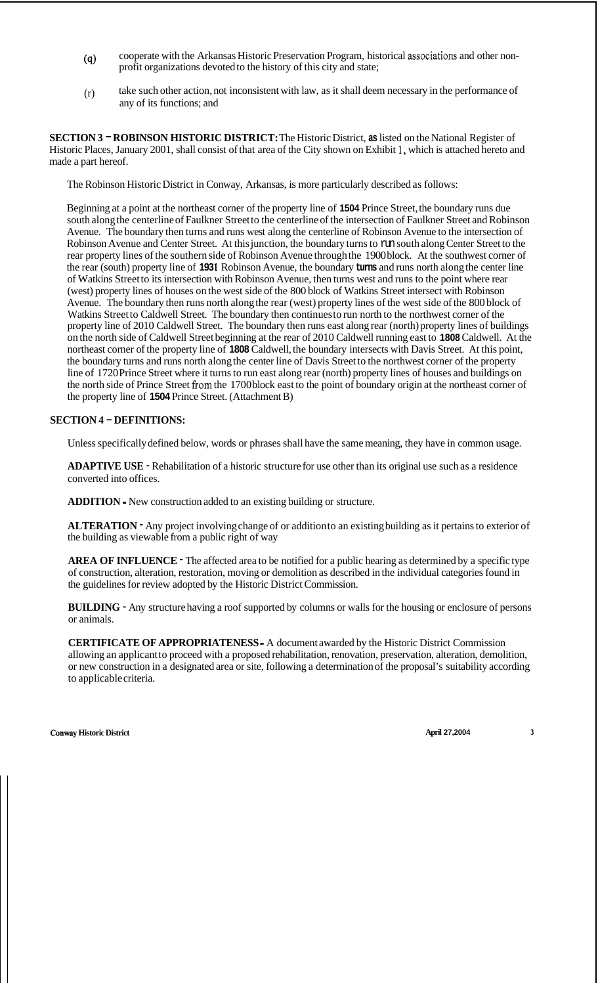- **(4)** cooperate with the Arkansas Historic Preservation Program, historical associations and other nonprofit organizations devoted to the history of this city and state;
- (r) take such other action, not inconsistent with law, as it shall deem necessary in the performance of any of its functions; and

**SECTION 3** - **ROBINSON HISTORIC DISTRICT:** The Historic District, **as** listed on the National Register of Historic Places, January 2001, shall consist of that area of the City shown on Exhibit **1,** which is attached hereto and made a part hereof.

The Robinson Historic District in Conway, Arkansas, is more particularly described as follows:

Beginning at a point at the northeast corner of the property line of **1504** Prince Street, the boundary runs due south along the centerline of Faulkner Street to the centerline of the intersection of Faulkner Street and Robinson Avenue. The boundary then turns and runs west along the centerline of Robinson Avenue to the intersection of Robinson Avenue and Center Street. At this junction, the boundary turns to run south along Center Street to the rear property lines of the southern side of Robinson Avenue through the 1900 block. At the southwest corner of the rear (south) property line of **193 1** Robinson Avenue, the boundary **turns** and runs north along the center line of Watkins Street to its intersection with Robinson Avenue, then turns west and runs to the point where rear (west) property lines of houses on the west side of the 800 block of Watkins Street intersect with Robinson Avenue. The boundary then runs north along the rear (west) property lines of the west side of the 800 block of Watkins Street to Caldwell Street. The boundary then continues to run north to the northwest corner of the property line of 2010 Caldwell Street. The boundary then runs east along rear (north) property lines of buildings on the north side of Caldwell Street beginning at the rear of 2010 Caldwell running east to **1808** Caldwell. At the northeast corner of the property line of **1808** Caldwell, the boundary intersects with Davis Street. At this point, the boundary turns and runs north along the center line of Davis Street to the northwest corner of the property line of 1720 Prince Street where it turns to run east along rear (north) property lines of houses and buildings on the north side of Prince Street fiom the 1700 block east to the point of boundary origin at the northeast corner of the property line of **1504** Prince Street. (Attachment B)

#### **SECTION 4** - **DEFINITIONS:**

Unless specifically defined below, words or phrases shall have the same meaning, they have in common usage.

**ADAPTIVE USE** - Rehabilitation of a historic structure for use other than its original use such as a residence converted into offices.

**ADDITION** - New construction added to an existing building or structure.

**ALTERATION** • Any project involving change of or addition to an existing building as it pertains to exterior of the building as viewable from a public right of way

**AREA OF INFLUENCE** - The affected area to be notified for a public hearing as determined by a specific type of construction, alteration, restoration, moving or demolition as described in the individual categories found in the guidelines for review adopted by the Historic District Commission.

**BUILDING** - Any structure having a roof supported by columns or walls for the housing or enclosure of persons or animals.

**CERTIFICATE OF APPROPRIATENESS** - A document awarded by the Historic District Commission allowing an applicant to proceed with a proposed rehabilitation, renovation, preservation, alteration, demolition, or new construction in a designated area or site, following a determination of the proposal's suitability according to applicable criteria.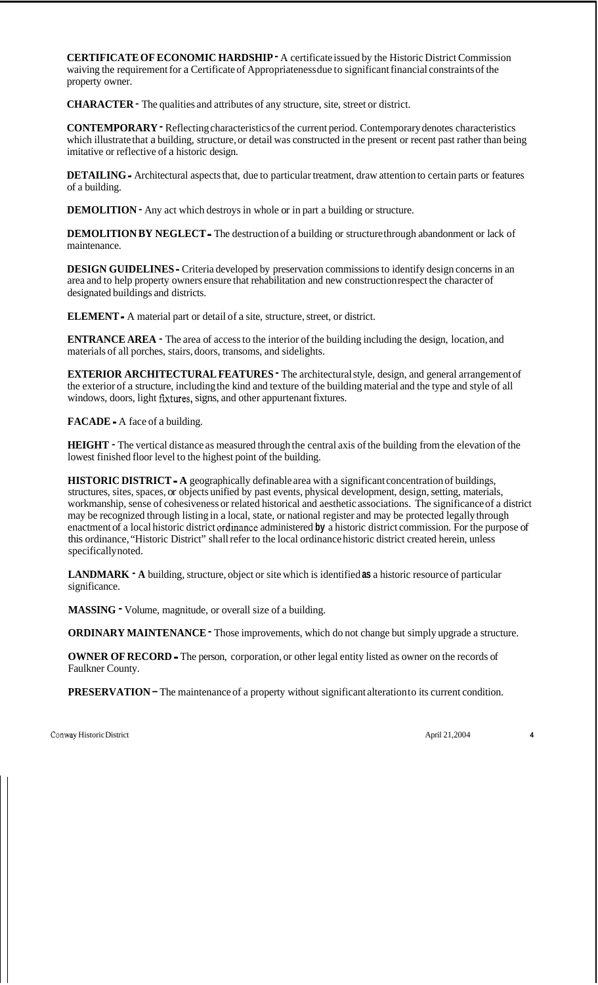**CERTIFICATE OF ECONOMIC HARDSHIP** - A certificate issued by the Historic District Commission waiving the requirement for a Certificate of Appropriateness due to significant financial constraints of the property owner.

**CHARACTER** - The qualities and attributes of any structure, site, street or district.

**CONTEMPORARY** - Reflecting characteristics of the current period. Contemporary denotes characteristics which illustrate that a building, structure, or detail was constructed in the present or recent past rather than being imitative or reflective of a historic design.

**DETAILING** - Architectural aspects that, due to particular treatment, draw attention to certain parts or features of a building.

**DEMOLITION -** Any act which destroys in whole or in part a building or structure.

**DEMOLITION BY NEGLECT** - The destruction of a building or structure through abandonment or lack of maintenance.

**DESIGN GUIDELINES** - Criteria developed by preservation commissions to identify design concerns in an area and to help property owners ensure that rehabilitation and new construction respect the character of designated buildings and districts.

**ELEMENT** - A material part or detail of a site, structure, street, or district.

**ENTRANCE AREA** - The area of access to the interior of the building including the design, location, and materials of all porches, stairs, doors, transoms, and sidelights.

**EXTERIOR ARCHITECTURAL FEATURES** • The architectural style, design, and general arrangement of the exterior of a structure, including the kind and texture of the building material and the type and style of all windows, doors, light fixtures, signs, and other appurtenant fixtures.

**FACADE** - A face of a building.

**HEIGHT** - The vertical distance as measured through the central axis of the building from the elevation of the lowest finished floor level to the highest point of the building.

**HISTORIC DISTRICT** - **A** geographically definable area with a significant concentration of buildings, structures, sites, spaces, or objects unified by past events, physical development, design, setting, materials, workmanship, sense of cohesiveness or related historical and aesthetic associations. The significance of a district may be recognized through listing in a local, state, or national register and may be protected legally through enactment of a local historic district ordinance administered **by** a historic district commission. For the purpose of this ordinance, "Historic District" shall refer to the local ordinance historic district created herein, unless specifically noted.

**LANDMARK** - **A** building, structure, object or site which is identified **as** a historic resource of particular significance.

**MASSING** - Volume, magnitude, or overall size of a building.

**ORDINARY MAINTENANCE - Those improvements, which do not change but simply upgrade a structure.** 

**OWNER OF RECORD** - The person, corporation, or other legal entity listed as owner on the records of Faulkner County.

**PRESERVATION – The maintenance of a property without significant alteration to its current condition.**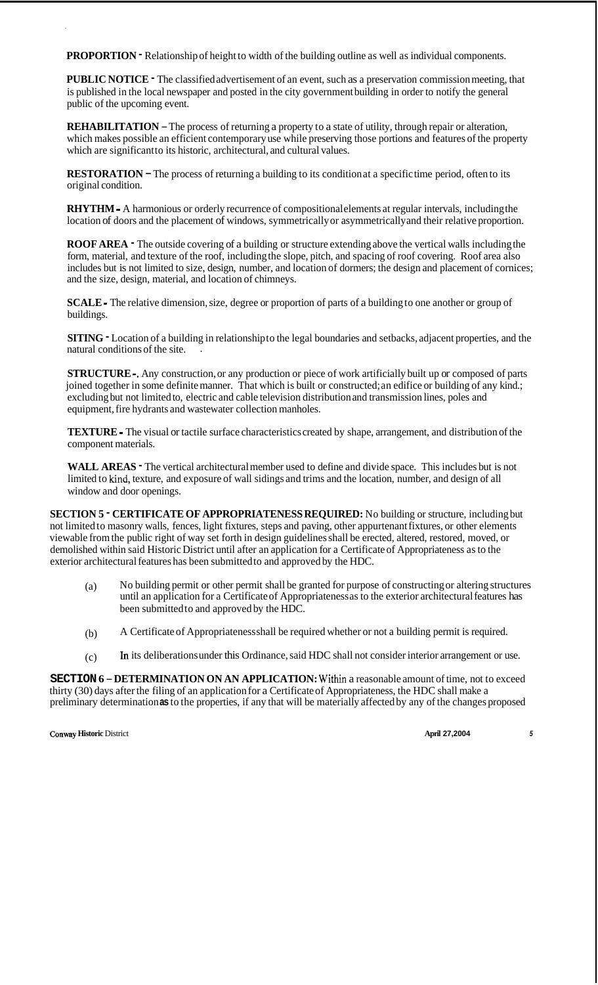**PROPORTION** • Relationship of height to width of the building outline as well as individual components.

**PUBLIC NOTICE** - The classified advertisement of an event, such as a preservation commission meeting, that is published in the local newspaper and posted in the city government building in order to notify the general public of the upcoming event.

**REHABILITATION** - The process of returning a property to a state of utility, through repair or alteration, which makes possible an efficient contemporary use while preserving those portions and features of the property which are significant to its historic, architectural, and cultural values.

**RESTORATION – The process of returning a building to its condition at a specific time period, often to its** original condition.

**RHYTHM** - A harmonious or orderly recurrence of compositional elements at regular intervals, including the location of doors and the placement of windows, symmetrically or asymmetrically and their relative proportion.

**ROOF AREA** - The outside covering of a building or structure extending above the vertical walls including the form, material, and texture of the roof, including the slope, pitch, and spacing of roof covering. Roof area also includes but is not limited to size, design, number, and location of dormers; the design and placement of cornices; and the size, design, material, and location of chimneys.

**SCALE** - The relative dimension, size, degree or proportion of parts of a building to one another or group of buildings.

**SITING -** Location of a building in relationship to the legal boundaries and setbacks, adjacent properties, and the natural conditions of the site. .

**STRUCTURE** -. Any construction, or any production or piece of work artificially built up or composed of parts joined together in some definite manner. That which is built or constructed; an edifice or building of any kind.; excluding but not limited to, electric and cable television distribution and transmission lines, poles and equipment, fire hydrants and wastewater collection manholes.

**TEXTURE** - The visual or tactile surface characteristics created by shape, arrangement, and distribution of the component materials.

WALL AREAS **-** The vertical architectural member used to define and divide space. This includes but is not limited to kind, texture, and exposure of wall sidings and trims and the location, number, and design of all window and door openings.

**SECTION 5** - **CERTIFICATE OF APPROPRIATENESS REQUIRED:** No building or structure, including but not limited to masonry walls, fences, light fixtures, steps and paving, other appurtenant fixtures, or other elements viewable from the public right of way set forth in design guidelines shall be erected, altered, restored, moved, or demolished within said Historic District until after an application for a Certificate of Appropriateness as to the exterior architectural features has been submitted to and approved by the HDC.

- (a) No building permit or other permit shall be granted for purpose of constructing or altering structures until an application for a Certificate of Appropriateness as to the exterior architectural features has been submitted to and approved by the HDC.
- (b) A Certificate of Appropriateness shall be required whether or not a building permit is required.
- (c) **In** its deliberations under this Ordinance, said HDC shall not consider interior arrangement or use.

**SECTION <sup>6</sup>**- **DETERMINATION ON AN APPLICATION:** Within a reasonable amount of time, not to exceed thirty (30) days after the filing of an application for a Certificate of Appropriateness, the HDC shall make a preliminary determination **as** to the properties, if any that will be materially affected by any of the changes proposed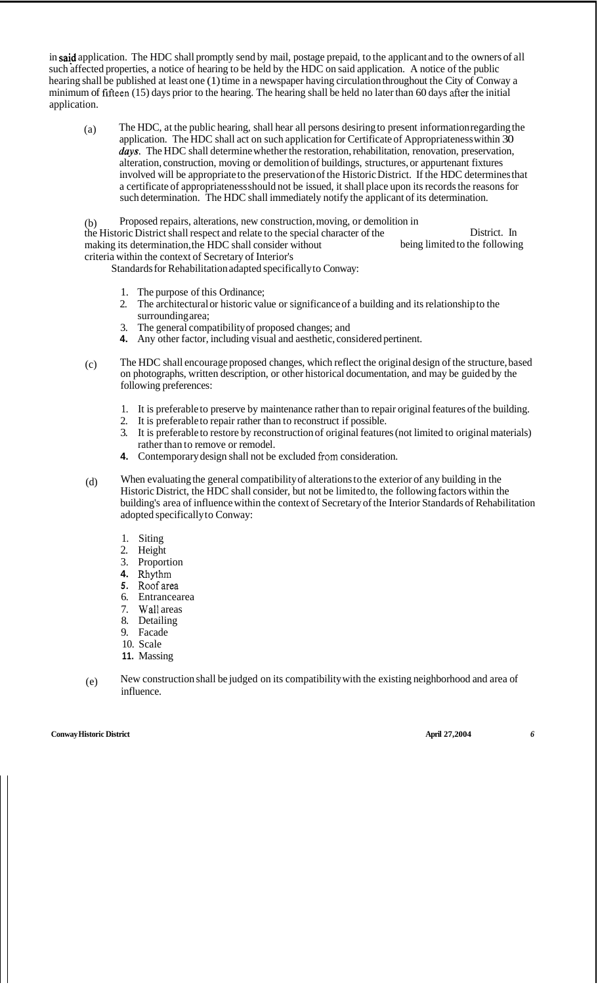in said application. The HDC shall promptly send by mail, postage prepaid, to the applicant and to the owners of all such affected properties, a notice of hearing to be held by the HDC on said application. A notice of the public hearing shall be published at least one (1) time in a newspaper having circulation throughout the City of Conway a minimum of fifteen (15) days prior to the hearing. The hearing shall be held no later than 60 days after the initial application.

(a) The HDC, at the public hearing, shall hear all persons desiring to present information regarding the application. The HDC shall act on such application for Certificate of Appropriateness within 30 *days.* The HDC shall determine whether the restoration, rehabilitation, renovation, preservation, alteration, construction, moving or demolition of buildings, structures, or appurtenant fixtures involved will be appropriate to the preservation of the Historic District. If the HDC determines that a certificate of appropriateness should not be issued, it shall place upon its records the reasons for such determination. The HDC shall immediately notify the applicant of its determination.

(b) the Historic District shall respect and relate to the special character of the making its determination, the HDC shall consider without criteria within the context of Secretary of Interior's Proposed repairs, alterations, new construction, moving, or demolition in District. In being limited to the following

Standards for Rehabilitation adapted specifically to Conway:

- 1. The purpose of this Ordinance;
- 2. The architectural or historic value or significance of a building and its relationship to the surrounding area;
- 3. The general compatibility of proposed changes; and
- **4.** Any other factor, including visual and aesthetic, considered pertinent.
- (c) The HDC shall encourage proposed changes, which reflect the original design of the structure, based on photographs, written description, or other historical documentation, and may be guided by the following preferences:
	- 1. It is preferable to preserve by maintenance rather than to repair original features of the building.
	- 2. It is preferable to repair rather than to reconstruct if possible.
	- 3. It is preferable to restore by reconstruction of original features (not limited to original materials) rather than to remove or remodel.
	- **4.** Contemporary design shall not be excluded from consideration.
- (d) When evaluating the general compatibility of alterations to the exterior of any building in the Historic District, the HDC shall consider, but not be limited to, the following factors within the building's area of influence within the context of Secretary of the Interior Standards of Rehabilitation adopted specifically to Conway:
	- 1. Siting
	- 2. Height
	- 3. Proportion
	- **4.** Rhythm
	- *5.* Roofarea
	- 6. Entrancearea
	- 7. Wall areas
	- 8. Detailing
	- 9. Facade
	- 10. Scale
	- **11.** Massing
- (e) New construction shall be judged on its compatibility with the existing neighborhood and area of influence.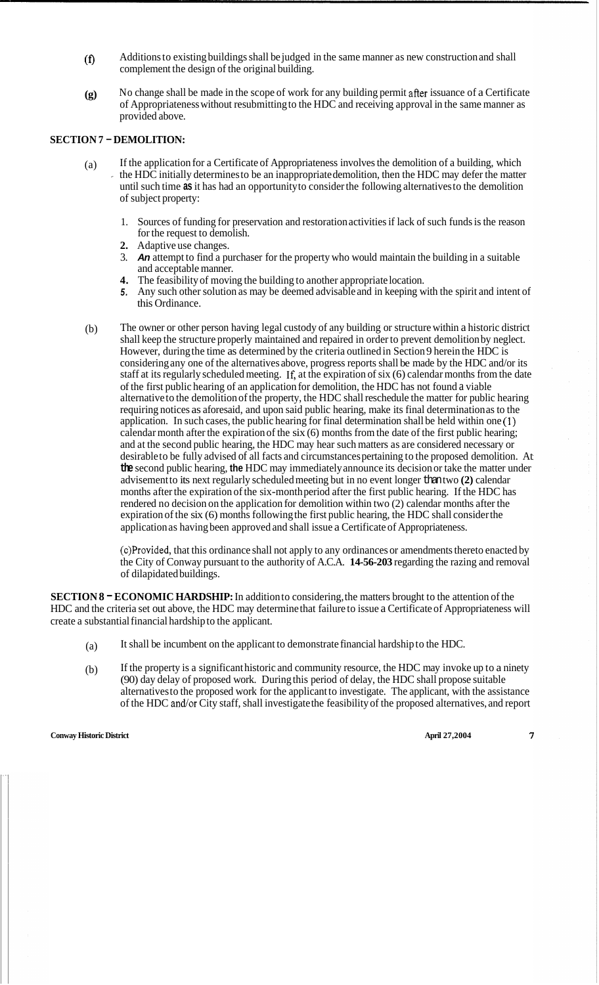- (f) Additions to existing buildings shall be judged in the same manner as new construction and shall complement the design of the original building.
- **(g)** No change shall be made in the scope of work for any building permit after issuance of a Certificate of Appropriateness without resubmitting to the HDC and receiving approval in the same manner as provided above.

### **SECTION 7** - **DEMOLITION:**

- $(a)$  If the application for a Certificate of Appropriateness involves the demolition of a building, which the HDC initially determines to be an inappropriate demolition, then the HDC may defer the matter until such time **as** it has had an opportunity to consider the following alternatives to the demolition of subject property:
	- 1. Sources of funding for preservation and restoration activities if lack of such funds is the reason for the request to demolish.
	- **2.** Adaptive use changes.
	- 3. *An* attempt to find a purchaser for the property who would maintain the building in a suitable and acceptable manner.
	- **4.** The feasibility of moving the building to another appropriate location.
	- *5.* Any such other solution as may be deemed advisable and in keeping with the spirit and intent of this Ordinance.
- (b) The owner or other person having legal custody of any building or structure within a historic district shall keep the structure properly maintained and repaired in order to prevent demolition by neglect. However, during the time as determined by the criteria outlined in Section 9 herein the HDC is considering any one of the alternatives above, progress reports shall be made by the HDC and/or its staff at its regularly scheduled meeting. If, at the expiration of six (6) calendar months from the date of the first public hearing of an application for demolition, the HDC has not found a viable alternative to the demolition of the property, the HDC shall reschedule the matter for public hearing requiring notices as aforesaid, and upon said public hearing, make its final determination as to the application. In such cases, the public hearing for final determination shall be held within one **(1)**  calendar month after the expiration of the six (6) months from the date of the first public hearing; and at the second public hearing, the HDC may hear such matters as are considered necessary or desirable to be fully advised of all facts and circumstances pertaining to the proposed demolition. At **the** second public hearing, **the** HDC may immediately announce its decision or take the matter under advisement to its next regularly scheduled meeting but in no event longer than two (2) calendar months after the expiration of the six-month period after the first public hearing. If the HDC has rendered no decision on the application for demolition within two (2) calendar months after the expiration of the six (6) months following the first public hearing, the HDC shall consider the application as having been approved and shall issue a Certificate of Appropriateness.

(c)Provided, that this ordinance shall not apply to any ordinances or amendments thereto enacted by the City of Conway pursuant to the authority of A.C.A. **14-56-203** regarding the razing and removal of dilapidated buildings.

**SECTION 8** - **ECONOMIC HARDSHIP:** In addition to considering, the matters brought to the attention of the HDC and the criteria set out above, the HDC may determine that failure to issue a Certificate of Appropriateness will create a substantial financial hardship to the applicant.

- (a) It shall be incumbent on the applicant to demonstrate financial hardship to the HDC.
- (b) If the property is a significant historic and community resource, the HDC may invoke up to a ninety (90) day delay of proposed work. During this period of delay, the HDC shall propose suitable alternatives to the proposed work for the applicant to investigate. The applicant, with the assistance of the HDC and/or City staff, shall investigate the feasibility of the proposed alternatives, and report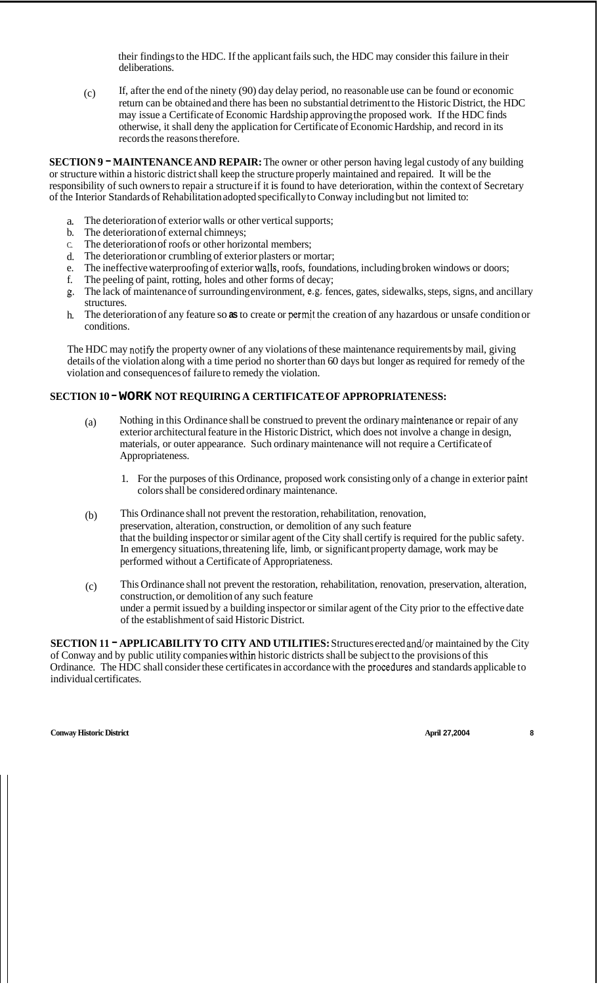their findings to the HDC. If the applicant fails such, the HDC may consider this failure in their deliberations.

(c) If, after the end of the ninety (90) day delay period, no reasonable use can be found or economic return can be obtained and there has been no substantial detriment to the Historic District, the HDC may issue a Certificate of Economic Hardship approving the proposed work. If the HDC finds otherwise, it shall deny the application for Certificate of Economic Hardship, and record in its records the reasons therefore.

**SECTION 9** - **MAINTENANCE AND REPAIR:** The owner or other person having legal custody of any building or structure within a historic district shall keep the structure properly maintained and repaired. It will be the responsibility of such owners to repair a structure if it is found to have deterioration, within the context of Secretary of the Interior Standards of Rehabilitation adopted specifically to Conway including but not limited to:

- a. The deterioration of exterior walls or other vertical supports;
- b. The deterioration of external chimneys;
- C. The deterioration of roofs or other horizontal members;
- d. The deterioration or crumbling of exterior plasters or mortar;
- e. The ineffective waterproofing of exterior waIls, roofs, foundations, including broken windows or doors;
- f. The peeling of paint, rotting, holes and other forms of decay;
- g. The lack of maintenance of surrounding environment, e.g. fences, gates, sidewalks, steps, signs, and ancillary structures.
- h. The deterioration of any feature so **as** to create or permit the creation of any hazardous or unsafe condition or conditions.

The HDC may notify the property owner of any violations of these maintenance requirements by mail, giving details of the violation along with a time period no shorter than 60 days but longer as required for remedy of the violation and consequences of failure to remedy the violation.

### **SECTION 10** - **WORK NOT REQUIRING A CERTIFICATE OF APPROPRIATENESS:**

- (a) Nothing in this Ordinance shall be construed to prevent the ordinary maintenance or repair of any exterior architectural feature in the Historic District, which does not involve a change in design, materials, or outer appearance. Such ordinary maintenance will not require a Certificate of Appropriateness.
	- 1. For the purposes of this Ordinance, proposed work consisting only of a change in exterior paint colors shall be considered ordinary maintenance.
- (b) This Ordinance shall not prevent the restoration, rehabilitation, renovation, preservation, alteration, construction, or demolition of any such feature that the building inspector or similar agent of the City shall certify is required for the public safety. In emergency situations, threatening life, limb, or significant property damage, work may be performed without a Certificate of Appropriateness.
- (c) This Ordinance shall not prevent the restoration, rehabilitation, renovation, preservation, alteration, construction, or demolition of any such feature under a permit issued by a building inspector or similar agent of the City prior to the effective date of the establishment of said Historic District.

**SECTION 11** - **APPLICABILITY TO CITY AND UTILITIES:** Structures erected and/or maintained by the City of Conway and by public utility companies within historic districts shall be subject to the provisions of this Ordinance. The HDC shall consider these certificates in accordance with the procedures and standards applicable to individual certificates.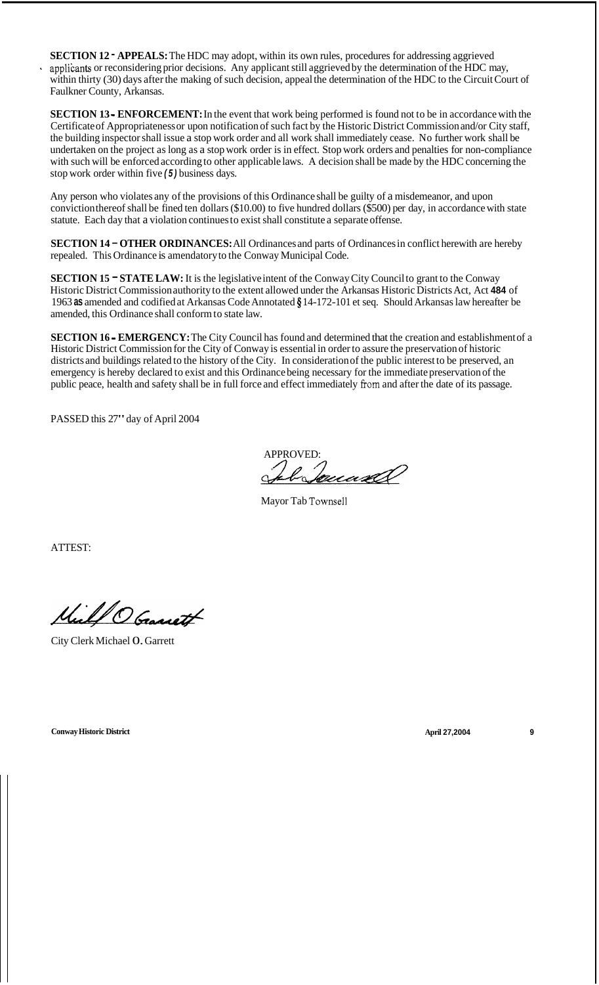**SECTION 12** - **APPEALS:** The HDC may adopt, within its own rules, procedures for addressing aggrieved applikants or reconsidering prior decisions. Any applicant still aggrieved by the determination of the HDC may, within thirty (30) days after the making of such decision, appeal the determination of the HDC to the Circuit Court of Faulkner County, Arkansas. '

**SECTION 13 - ENFORCEMENT:** In the event that work being performed is found not to be in accordance with the Certificate of Appropriateness or upon notification of such fact by the Historic District Commission and/or City staff, the building inspector shall issue a stop work order and all work shall immediately cease. No further work shall be undertaken on the project as long as a stop work order is in effect. Stop work orders and penalties for non-compliance with such will be enforced according to other applicable laws. A decision shall be made by the HDC concerning the stop work order within five *(5)* business days.

Any person who violates any of the provisions of this Ordinance shall be guilty of a misdemeanor, and upon conviction thereof shall be fined ten dollars (\$10.00) to five hundred dollars (\$500) per day, in accordance with state statute. Each day that a violation continues to exist shall constitute a separate offense.

**SECTION 14** - **OTHER ORDINANCES:** All Ordinances and parts of Ordinances in conflict herewith are hereby repealed. This Ordinance is amendatory to the Conway Municipal Code.

**SECTION 15 - STATE LAW:** It is the legislative intent of the Conway City Council to grant to the Conway Historic District Commission authority to the extent allowed under the Arkansas Historic Districts Act, Act **484** of 1963 **as** amended and codified at Arkansas Code Annotated **9** 14- 172- 10 1 et seq. Should Arkansas law hereafter be amended, this Ordinance shall conform to state law.

**SECTION 16** - **EMERGENCY:** The City Council has found and determined that the creation and establishment of a Historic District Commission for the City of Conway is essential in order to assure the preservation of historic districts and buildings related to the history of the City. In consideration of the public interest to be preserved, an emergency is hereby declared to exist and this Ordinance being necessary for the immediate preservation of the public peace, health and safety shall be in full force and effect immediately fiom and after the date of its passage.

PASSED this 27" day of April 2004

APPROVED:

Mayor Tab Townsell

ATTEST:

Mill O Granatt

City Clerk Michael 0. Garrett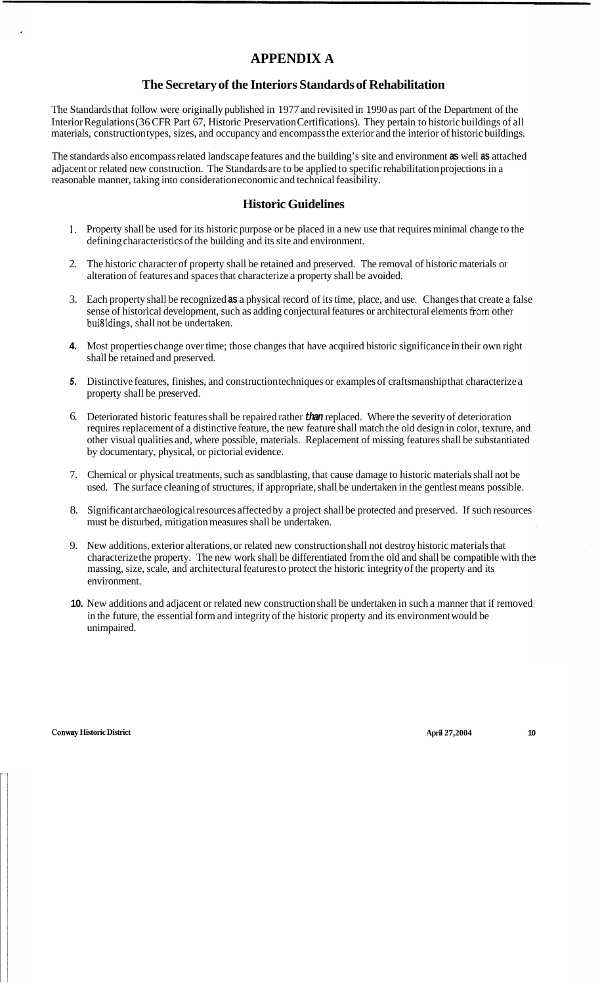# **APPENDIX A**

### **The Secretary of the Interiors Standards of Rehabilitation**

The Standards that follow were originally published in 1977 and revisited in 1990 as part of the Department of the Interior Regulations (36 CFR Part 67, Historic Preservation Certifications). They pertain to historic buildings of all materials, construction types, sizes, and occupancy and encompass the exterior and the interior of historic buildings.

The standards also encompass related landscape features and the building's site and environment **as** well **as** attached adjacent or related new construction. The Standards are to be applied to specific rehabilitation projections in a reasonable manner, taking into consideration economic and technical feasibility.

### **Historic Guidelines**

- 1. Property shall be used for its historic purpose or be placed in a new use that requires minimal change to the defining characteristics of the building and its site and environment.
- 2. The historic character of property shall be retained and preserved. The removal of historic materials or alteration of features and spaces that characterize a property shall be avoided.
- 3. Each property shall be recognized **as** a physical record of its time, place, and use. Changes that create a false sense of historical development, such as adding conjectural features or architectural elements fiom other bui8ldings, shall not be undertaken.
- **4.** Most properties change over time; those changes that have acquired historic significance in their own right shall be retained and preserved.
- *5.* Distinctive features, finishes, and construction techniques or examples of craftsmanship that characterize a property shall be preserved.
- 6. Deteriorated historic features shall be repaired rather *than* replaced. Where the severity of deterioration requires replacement of a distinctive feature, the new feature shall match the old design in color, texture, and other visual qualities and, where possible, materials. Replacement of missing features shall be substantiated by documentary, physical, or pictorial evidence.
- 7. Chemical or physical treatments, such as sandblasting, that cause damage to historic materials shall not be used. The surface cleaning of structures, if appropriate, shall be undertaken in the gentlest means possible.
- 8. Significant archaeological resources affected by a project shall be protected and preserved. If such resources must be disturbed, mitigation measures shall be undertaken.
- 9. New additions, exterior alterations, or related new construction shall not destroy historic materials that characterize the property. The new work shall be differentiated from the old and shall be compatible with the massing, size, scale, and architectural features to protect the historic integrity of the property and its environment.
- **10.** New additions and adjacent or related new construction shall be undertaken in such a manner that if removed in the future, the essential form and integrity of the historic property and its environment would be unimpaired.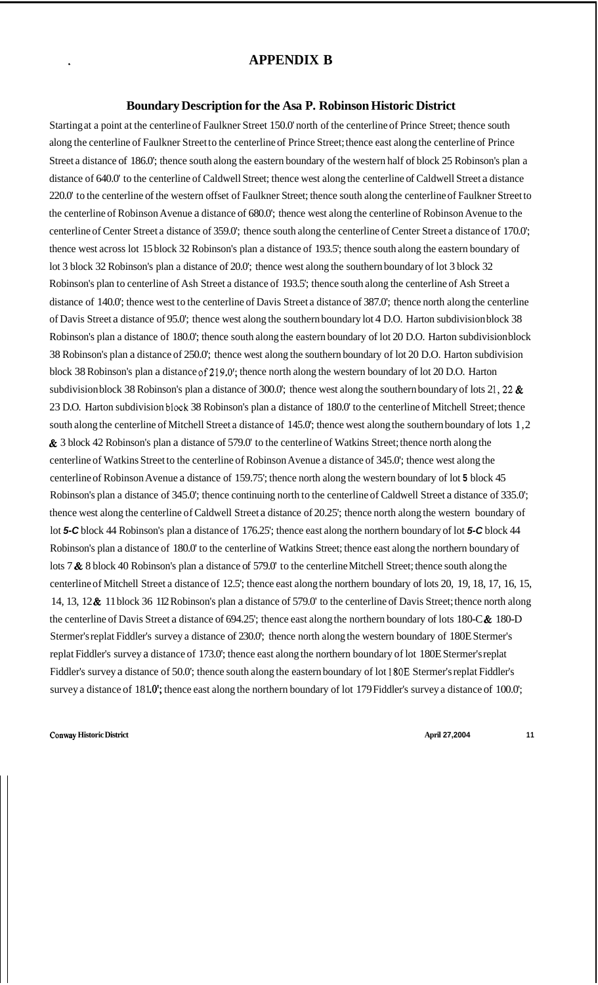## **APPENDIX B**

### **Boundary Description for the Asa P. Robinson Historic District**

Starting at a point at the centerline of Faulkner Street 150.0' north of the centerline of Prince Street; thence south along the centerline of Faulkner Street to the centerline of Prince Street; thence east along the centerline of Prince Street a distance of 186.0'; thence south along the eastern boundary of the western half of block 25 Robinson's plan a distance of 640.0' to the centerline of Caldwell Street; thence west along the centerline of Caldwell Street a distance 220.0' to the centerline of the western offset of Faulkner Street; thence south along the centerline of Faulkner Street to the centerline of Robinson Avenue a distance of 680.0'; thence west along the centerline of Robinson Avenue to the centerline of Center Street a distance of 359.0'; thence south along the centerline of Center Street a distance of 170.0'; thence west across lot 15 block 32 Robinson's plan a distance of 193.5'; thence south along the eastern boundary of lot 3 block 32 Robinson's plan a distance of 20.0'; thence west along the southern boundary of lot 3 block 32 Robinson's plan to centerline of Ash Street a distance of 193.5'; thence south along the centerline of Ash Street a distance of 140.0'; thence west to the centerline of Davis Street a distance of 387.0'; thence north along the centerline of Davis Street a distance of 95.0'; thence west along the southern boundary lot 4 D.O. Harton subdivision block 38 Robinson's plan a distance of 180.0'; thence south along the eastern boundary of lot 20 D.O. Harton subdivision block 38 Robinson's plan a distance of 250.0'; thence west along the southern boundary of lot 20 D.O. Harton subdivision block 38 Robinson's plan a distance of 219.0'; thence north along the western boundary of lot 20 D.O. Harton subdivision block 38 Robinson's plan a distance of 300.0'; thence west along the southern boundary of lots 21, 22  $\&$ 23 D.O. Harton subdivision block 38 Robinson's plan a distance of 180.0' to the centerline of Mitchell Street; thence south along the centerline of Mitchell Street a distance of 145.0'; thence west along the southern boundary of lots 1,2 & 3 block 42 Robinson's plan a distance of 579.0' to the centerline of Watkins Street; thence north along the centerline of Watkins Street to the centerline of Robinson Avenue a distance of 345.0'; thence west along the centerline of Robinson Avenue a distance of 159.75'; thence north along the western boundary of lot **5** block 45 Robinson's plan a distance of 345.0'; thence continuing north to the centerline of Caldwell Street a distance of 335.0'; thence west along the centerline of Caldwell Street a distance of 20.25'; thence north along the western boundary of lot *5-C* block 44 Robinson's plan a distance of 176.25'; thence east along the northern boundary of lot *5-C* block 44 Robinson's plan a distance of 180.0' to the centerline of Watkins Street; thence east along the northern boundary of lots 7 & 8 block 40 Robinson's plan a distance of 579.0' to the centerline Mitchell Street; thence south along the centerline of Mitchell Street a distance of 12.5'; thence east along the northern boundary of lots 20, 19, 18, 17, 16, 15, 14, 13, 12 & 11 block 36 112 Robinson's plan a distance of 579.0' to the centerline of Davis Street; thence north along the centerline of Davis Street a distance of 694.25'; thence east along the northern boundary of lots 180-C& 180-D Stermer's replat Fiddler's survey a distance of 230.0'; thence north along the western boundary of 180E Stermer's replat Fiddler's survey a distance of 173.0'; thence east along the northern boundary of lot 180E Stermer's replat Fiddler's survey a distance of 50.0'; thence south along the eastern boundary of lot 180E Stermer's replat Fiddler's survey a distance of 181.0'; thence east along the northern boundary of lot 179 Fiddler's survey a distance of 100.0';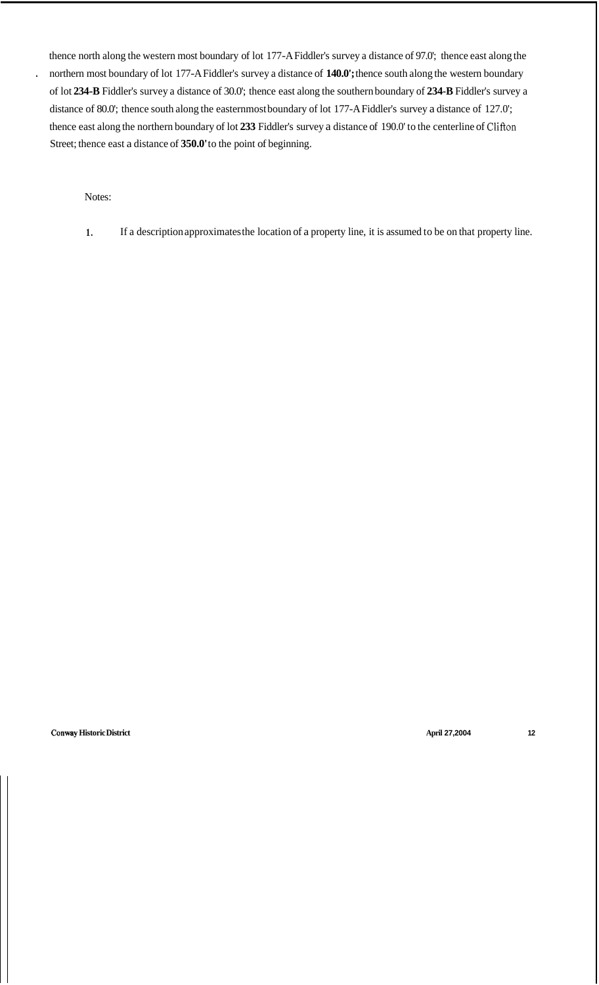thence north along the western most boundary of lot 177-A Fiddler's survey a distance of 97.0'; thence east along the northern most boundary of lot 177-A Fiddler's survey a distance of **140.0';** thence south along the western boundary of lot **234-B** Fiddler's survey a distance of 30.0'; thence east along the southern boundary of **234-B** Fiddler's survey a distance of 80.0'; thence south along the easternmost boundary of lot 177-A Fiddler's survey a distance of 127.0'; thence east along the northern boundary of lot **233** Fiddler's survey a distance of 190.0' to the centerline of Clifton Street; thence east a distance of **350.0'** to the point of beginning.

Notes:

.

**1.** If a description approximates the location of a property line, it is assumed to be on that property line.